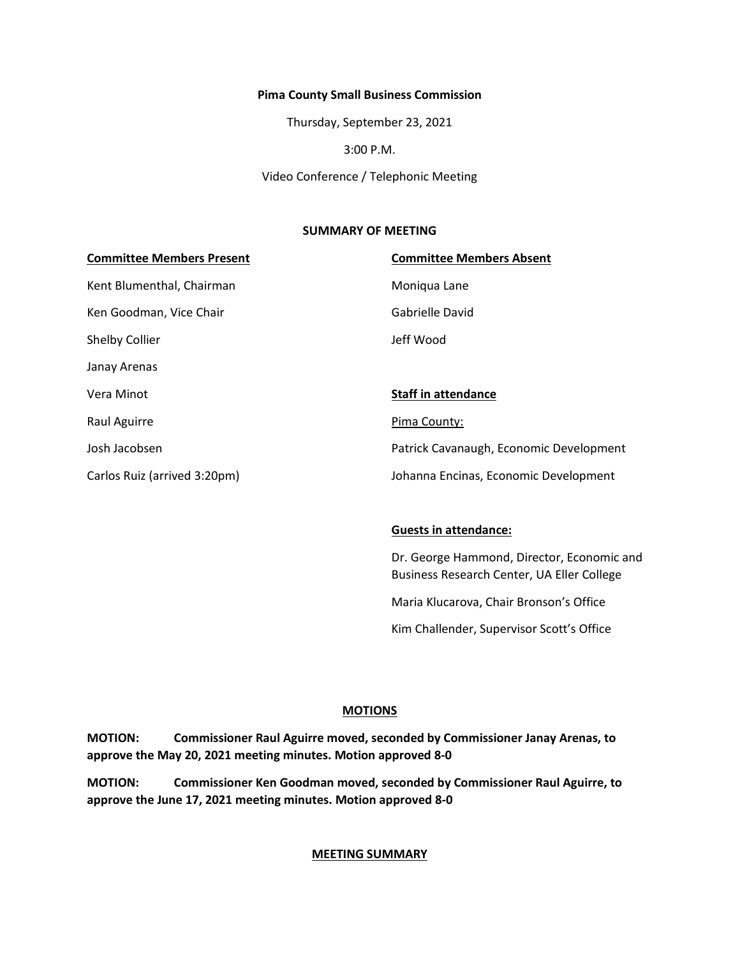#### **Pima County Small Business Commission**

Thursday, September 23, 2021

3:00 P.M.

Video Conference / Telephonic Meeting

#### **SUMMARY OF MEETING**

# **Committee Members Present Committee Members Absent** Kent Blumenthal, Chairman Moniqua Lane Ken Goodman, Vice Chair Gabrielle David Shelby Collier and The Shelby Collier and The Shelby Collier and The Jeff Wood Janay Arenas Vera Minot **Staff in attendance** Raul Aguirre **Pima County:** Josh Jacobsen Patrick Cavanaugh, Economic Development Carlos Ruiz (arrived 3:20pm) Johanna Encinas, Economic Development

#### **Guests in attendance:**

Dr. George Hammond, Director, Economic and Business Research Center, UA Eller College

Maria Klucarova, Chair Bronson's Office

Kim Challender, Supervisor Scott's Office

#### **MOTIONS**

**MOTION: Commissioner Raul Aguirre moved, seconded by Commissioner Janay Arenas, to approve the May 20, 2021 meeting minutes. Motion approved 8-0**

**MOTION: Commissioner Ken Goodman moved, seconded by Commissioner Raul Aguirre, to approve the June 17, 2021 meeting minutes. Motion approved 8-0** 

#### **MEETING SUMMARY**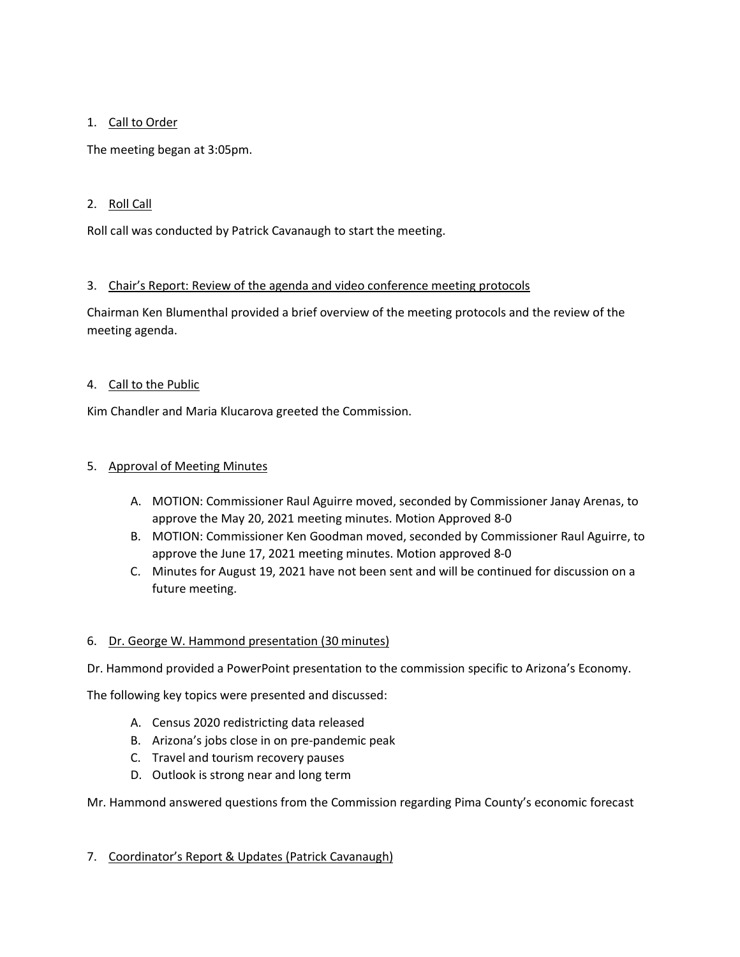# 1. Call to Order

The meeting began at 3:05pm.

# 2. Roll Call

Roll call was conducted by Patrick Cavanaugh to start the meeting.

# 3. Chair's Report: Review of the agenda and video conference meeting protocols

Chairman Ken Blumenthal provided a brief overview of the meeting protocols and the review of the meeting agenda.

# 4. Call to the Public

Kim Chandler and Maria Klucarova greeted the Commission.

# 5. Approval of Meeting Minutes

- A. MOTION: Commissioner Raul Aguirre moved, seconded by Commissioner Janay Arenas, to approve the May 20, 2021 meeting minutes. Motion Approved 8-0
- B. MOTION: Commissioner Ken Goodman moved, seconded by Commissioner Raul Aguirre, to approve the June 17, 2021 meeting minutes. Motion approved 8-0
- C. Minutes for August 19, 2021 have not been sent and will be continued for discussion on a future meeting.

## 6. Dr. George W. Hammond presentation (30 minutes)

Dr. Hammond provided a PowerPoint presentation to the commission specific to Arizona's Economy.

The following key topics were presented and discussed:

- A. Census 2020 redistricting data released
- B. Arizona's jobs close in on pre-pandemic peak
- C. Travel and tourism recovery pauses
- D. Outlook is strong near and long term

## Mr. Hammond answered questions from the Commission regarding Pima County's economic forecast

## 7. Coordinator's Report & Updates (Patrick Cavanaugh)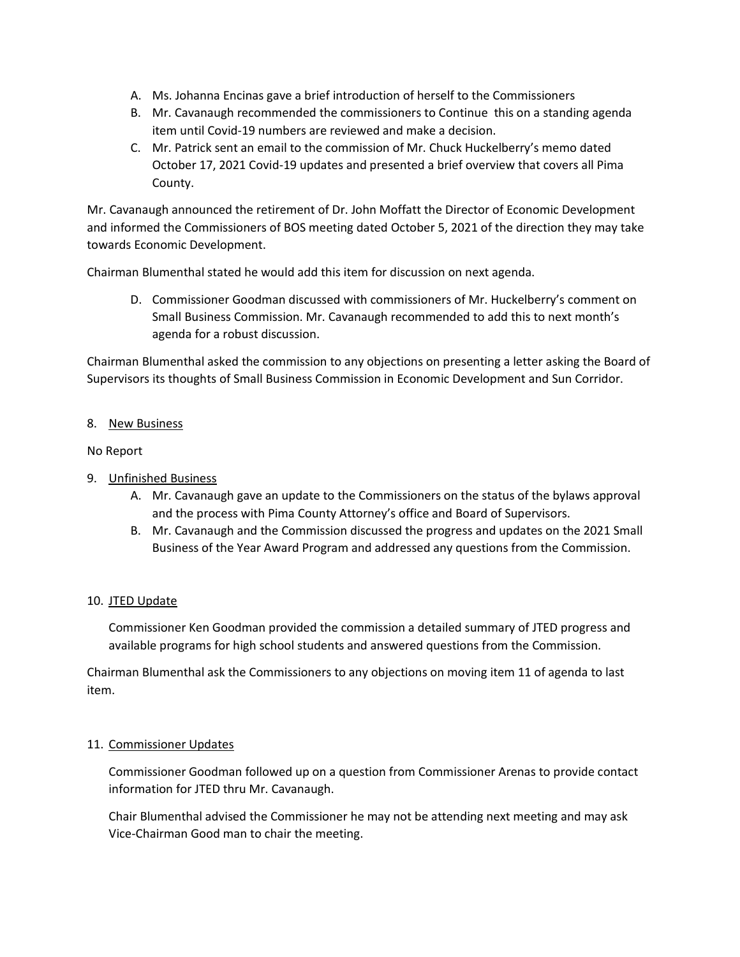- A. Ms. Johanna Encinas gave a brief introduction of herself to the Commissioners
- B. Mr. Cavanaugh recommended the commissioners to Continue this on a standing agenda item until Covid-19 numbers are reviewed and make a decision.
- C. Mr. Patrick sent an email to the commission of Mr. Chuck Huckelberry's memo dated October 17, 2021 Covid-19 updates and presented a brief overview that covers all Pima County.

Mr. Cavanaugh announced the retirement of Dr. John Moffatt the Director of Economic Development and informed the Commissioners of BOS meeting dated October 5, 2021 of the direction they may take towards Economic Development.

Chairman Blumenthal stated he would add this item for discussion on next agenda.

D. Commissioner Goodman discussed with commissioners of Mr. Huckelberry's comment on Small Business Commission. Mr. Cavanaugh recommended to add this to next month's agenda for a robust discussion.

Chairman Blumenthal asked the commission to any objections on presenting a letter asking the Board of Supervisors its thoughts of Small Business Commission in Economic Development and Sun Corridor.

# 8. New Business

# No Report

- 9. Unfinished Business
	- A. Mr. Cavanaugh gave an update to the Commissioners on the status of the bylaws approval and the process with Pima County Attorney's office and Board of Supervisors.
	- B. Mr. Cavanaugh and the Commission discussed the progress and updates on the 2021 Small Business of the Year Award Program and addressed any questions from the Commission.

## 10. JTED Update

Commissioner Ken Goodman provided the commission a detailed summary of JTED progress and available programs for high school students and answered questions from the Commission.

Chairman Blumenthal ask the Commissioners to any objections on moving item 11 of agenda to last item.

## 11. Commissioner Updates

Commissioner Goodman followed up on a question from Commissioner Arenas to provide contact information for JTED thru Mr. Cavanaugh.

Chair Blumenthal advised the Commissioner he may not be attending next meeting and may ask Vice-Chairman Good man to chair the meeting.